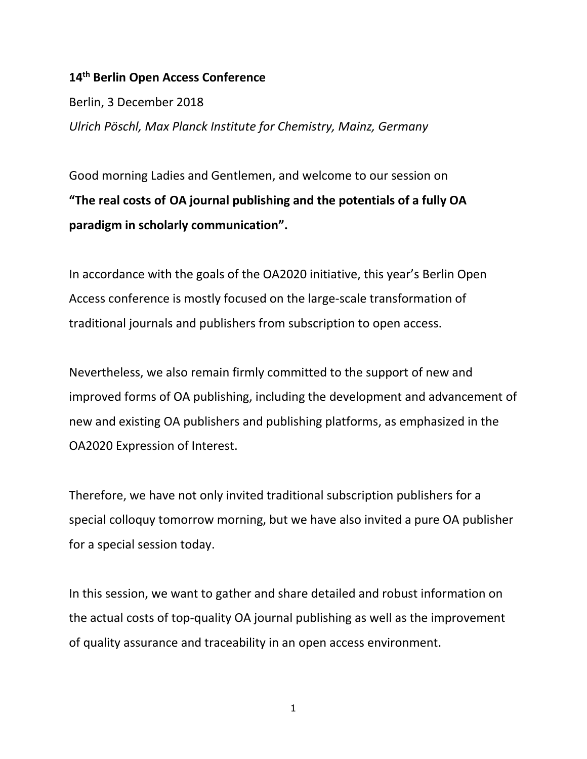## **14th Berlin Open Access Conference**

Berlin, 3 December 2018 *Ulrich Pöschl, Max Planck Institute for Chemistry, Mainz, Germany*

Good morning Ladies and Gentlemen, and welcome to our session on **"The real costs of OA journal publishing and the potentials of a fully OA paradigm in scholarly communication".**

In accordance with the goals of the OA2020 initiative, this year's Berlin Open Access conference is mostly focused on the large-scale transformation of traditional journals and publishers from subscription to open access.

Nevertheless, we also remain firmly committed to the support of new and improved forms of OA publishing, including the development and advancement of new and existing OA publishers and publishing platforms, as emphasized in the OA2020 Expression of Interest.

Therefore, we have not only invited traditional subscription publishers for a special colloquy tomorrow morning, but we have also invited a pure OA publisher for a special session today.

In this session, we want to gather and share detailed and robust information on the actual costs of top-quality OA journal publishing as well as the improvement of quality assurance and traceability in an open access environment.

1